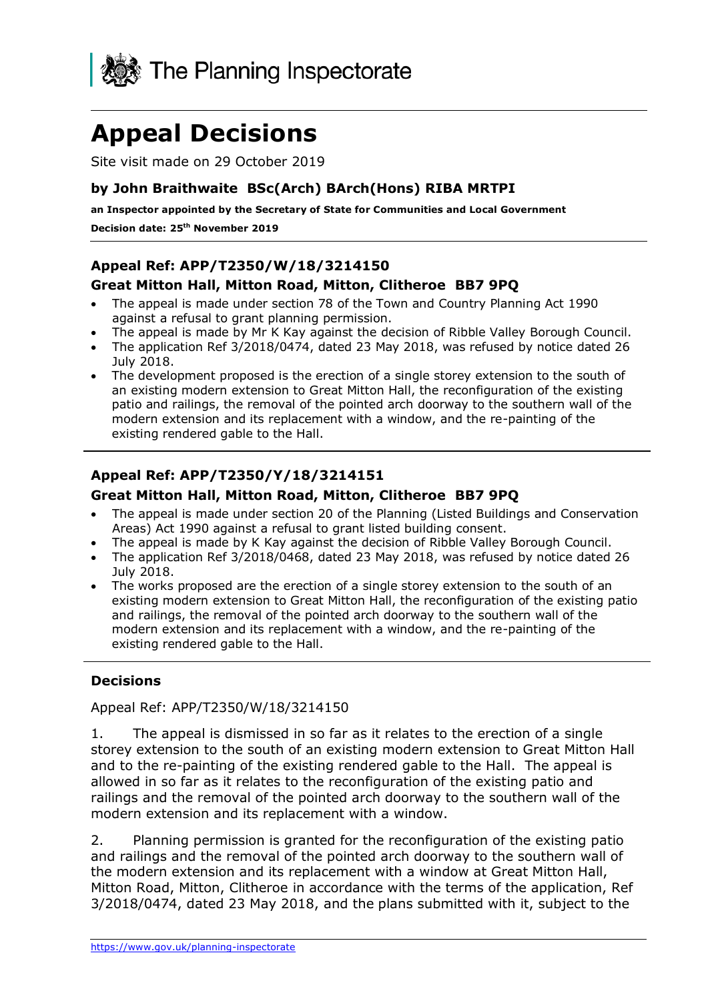

# **Appeal Decisions**

Site visit made on 29 October 2019

#### **by John Braithwaite BSc(Arch) BArch(Hons) RIBA MRTPI**

**an Inspector appointed by the Secretary of State for Communities and Local Government**

**Decision date: 25th November 2019**

#### **Appeal Ref: APP/T2350/W/18/3214150**

#### **Great Mitton Hall, Mitton Road, Mitton, Clitheroe BB7 9PQ**

- The appeal is made under section 78 of the Town and Country Planning Act 1990 against a refusal to grant planning permission.
- The appeal is made by Mr K Kay against the decision of Ribble Valley Borough Council.
- The application Ref 3/2018/0474, dated 23 May 2018, was refused by notice dated 26 July 2018.
- The development proposed is the erection of a single storey extension to the south of an existing modern extension to Great Mitton Hall, the reconfiguration of the existing patio and railings, the removal of the pointed arch doorway to the southern wall of the modern extension and its replacement with a window, and the re-painting of the existing rendered gable to the Hall.

## **Appeal Ref: APP/T2350/Y/18/3214151**

#### **Great Mitton Hall, Mitton Road, Mitton, Clitheroe BB7 9PQ**

- The appeal is made under section 20 of the Planning (Listed Buildings and Conservation Areas) Act 1990 against a refusal to grant listed building consent.
- The appeal is made by K Kay against the decision of Ribble Valley Borough Council.
- The application Ref 3/2018/0468, dated 23 May 2018, was refused by notice dated 26 July 2018.
- The works proposed are the erection of a single storey extension to the south of an existing modern extension to Great Mitton Hall, the reconfiguration of the existing patio and railings, the removal of the pointed arch doorway to the southern wall of the modern extension and its replacement with a window, and the re-painting of the existing rendered gable to the Hall.

#### **Decisions**

#### Appeal Ref: APP/T2350/W/18/3214150

1. The appeal is dismissed in so far as it relates to the erection of a single storey extension to the south of an existing modern extension to Great Mitton Hall and to the re-painting of the existing rendered gable to the Hall. The appeal is allowed in so far as it relates to the reconfiguration of the existing patio and railings and the removal of the pointed arch doorway to the southern wall of the modern extension and its replacement with a window.

2. Planning permission is granted for the reconfiguration of the existing patio and railings and the removal of the pointed arch doorway to the southern wall of the modern extension and its replacement with a window at Great Mitton Hall, Mitton Road, Mitton, Clitheroe in accordance with the terms of the application, Ref 3/2018/0474, dated 23 May 2018, and the plans submitted with it, subject to the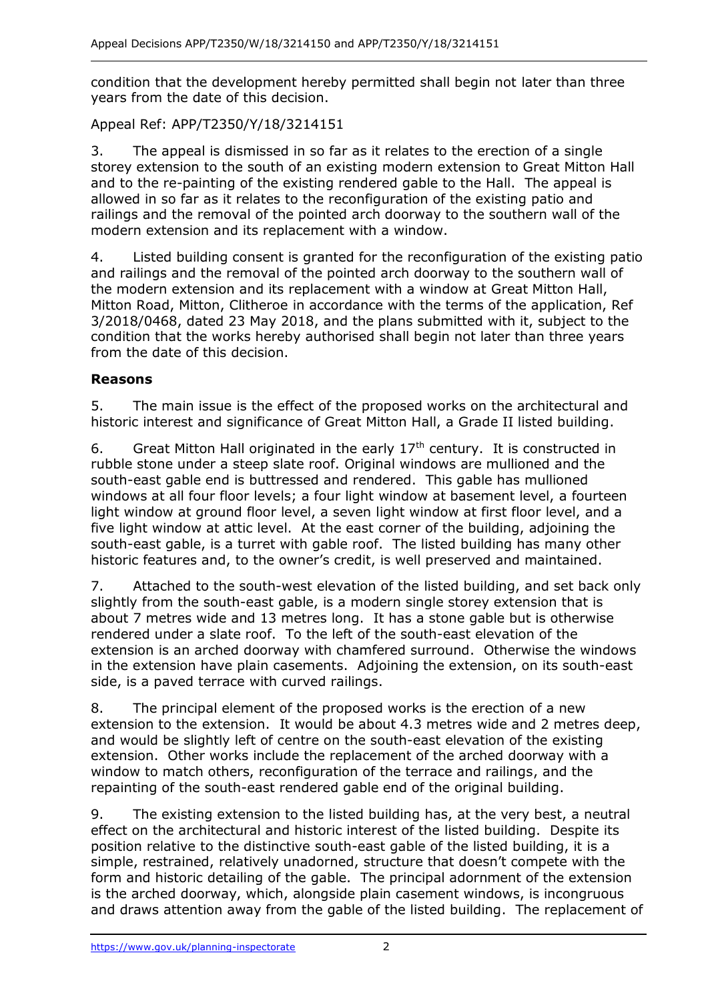condition that the development hereby permitted shall begin not later than three years from the date of this decision.

Appeal Ref: APP/T2350/Y/18/3214151

3. The appeal is dismissed in so far as it relates to the erection of a single storey extension to the south of an existing modern extension to Great Mitton Hall and to the re-painting of the existing rendered gable to the Hall. The appeal is allowed in so far as it relates to the reconfiguration of the existing patio and railings and the removal of the pointed arch doorway to the southern wall of the modern extension and its replacement with a window.

4. Listed building consent is granted for the reconfiguration of the existing patio and railings and the removal of the pointed arch doorway to the southern wall of the modern extension and its replacement with a window at Great Mitton Hall, Mitton Road, Mitton, Clitheroe in accordance with the terms of the application, Ref 3/2018/0468, dated 23 May 2018, and the plans submitted with it, subject to the condition that the works hereby authorised shall begin not later than three years from the date of this decision.

#### **Reasons**

5. The main issue is the effect of the proposed works on the architectural and historic interest and significance of Great Mitton Hall, a Grade II listed building.

6. Great Mitton Hall originated in the early  $17<sup>th</sup>$  century. It is constructed in rubble stone under a steep slate roof. Original windows are mullioned and the south-east gable end is buttressed and rendered. This gable has mullioned windows at all four floor levels; a four light window at basement level, a fourteen light window at ground floor level, a seven light window at first floor level, and a five light window at attic level. At the east corner of the building, adjoining the south-east gable, is a turret with gable roof. The listed building has many other historic features and, to the owner's credit, is well preserved and maintained.

7. Attached to the south-west elevation of the listed building, and set back only slightly from the south-east gable, is a modern single storey extension that is about 7 metres wide and 13 metres long. It has a stone gable but is otherwise rendered under a slate roof. To the left of the south-east elevation of the extension is an arched doorway with chamfered surround. Otherwise the windows in the extension have plain casements. Adjoining the extension, on its south-east side, is a paved terrace with curved railings.

8. The principal element of the proposed works is the erection of a new extension to the extension. It would be about 4.3 metres wide and 2 metres deep, and would be slightly left of centre on the south-east elevation of the existing extension. Other works include the replacement of the arched doorway with a window to match others, reconfiguration of the terrace and railings, and the repainting of the south-east rendered gable end of the original building.

9. The existing extension to the listed building has, at the very best, a neutral effect on the architectural and historic interest of the listed building. Despite its position relative to the distinctive south-east gable of the listed building, it is a simple, restrained, relatively unadorned, structure that doesn't compete with the form and historic detailing of the gable. The principal adornment of the extension is the arched doorway, which, alongside plain casement windows, is incongruous and draws attention away from the gable of the listed building. The replacement of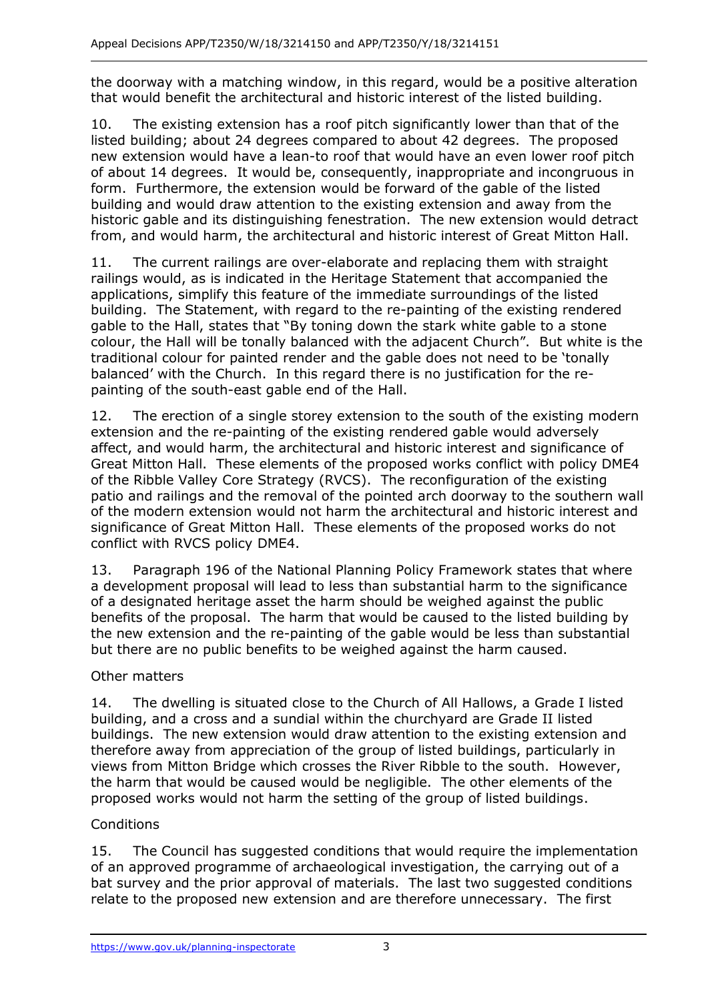the doorway with a matching window, in this regard, would be a positive alteration that would benefit the architectural and historic interest of the listed building.

10. The existing extension has a roof pitch significantly lower than that of the listed building; about 24 degrees compared to about 42 degrees. The proposed new extension would have a lean-to roof that would have an even lower roof pitch of about 14 degrees. It would be, consequently, inappropriate and incongruous in form. Furthermore, the extension would be forward of the gable of the listed building and would draw attention to the existing extension and away from the historic gable and its distinguishing fenestration. The new extension would detract from, and would harm, the architectural and historic interest of Great Mitton Hall.

11. The current railings are over-elaborate and replacing them with straight railings would, as is indicated in the Heritage Statement that accompanied the applications, simplify this feature of the immediate surroundings of the listed building. The Statement, with regard to the re-painting of the existing rendered gable to the Hall, states that "By toning down the stark white gable to a stone colour, the Hall will be tonally balanced with the adjacent Church". But white is the traditional colour for painted render and the gable does not need to be 'tonally balanced' with the Church. In this regard there is no justification for the repainting of the south-east gable end of the Hall.

12. The erection of a single storey extension to the south of the existing modern extension and the re-painting of the existing rendered gable would adversely affect, and would harm, the architectural and historic interest and significance of Great Mitton Hall. These elements of the proposed works conflict with policy DME4 of the Ribble Valley Core Strategy (RVCS). The reconfiguration of the existing patio and railings and the removal of the pointed arch doorway to the southern wall of the modern extension would not harm the architectural and historic interest and significance of Great Mitton Hall. These elements of the proposed works do not conflict with RVCS policy DME4.

13. Paragraph 196 of the National Planning Policy Framework states that where a development proposal will lead to less than substantial harm to the significance of a designated heritage asset the harm should be weighed against the public benefits of the proposal. The harm that would be caused to the listed building by the new extension and the re-painting of the gable would be less than substantial but there are no public benefits to be weighed against the harm caused.

### Other matters

14. The dwelling is situated close to the Church of All Hallows, a Grade I listed building, and a cross and a sundial within the churchyard are Grade II listed buildings. The new extension would draw attention to the existing extension and therefore away from appreciation of the group of listed buildings, particularly in views from Mitton Bridge which crosses the River Ribble to the south. However, the harm that would be caused would be negligible. The other elements of the proposed works would not harm the setting of the group of listed buildings.

### Conditions

15. The Council has suggested conditions that would require the implementation of an approved programme of archaeological investigation, the carrying out of a bat survey and the prior approval of materials. The last two suggested conditions relate to the proposed new extension and are therefore unnecessary. The first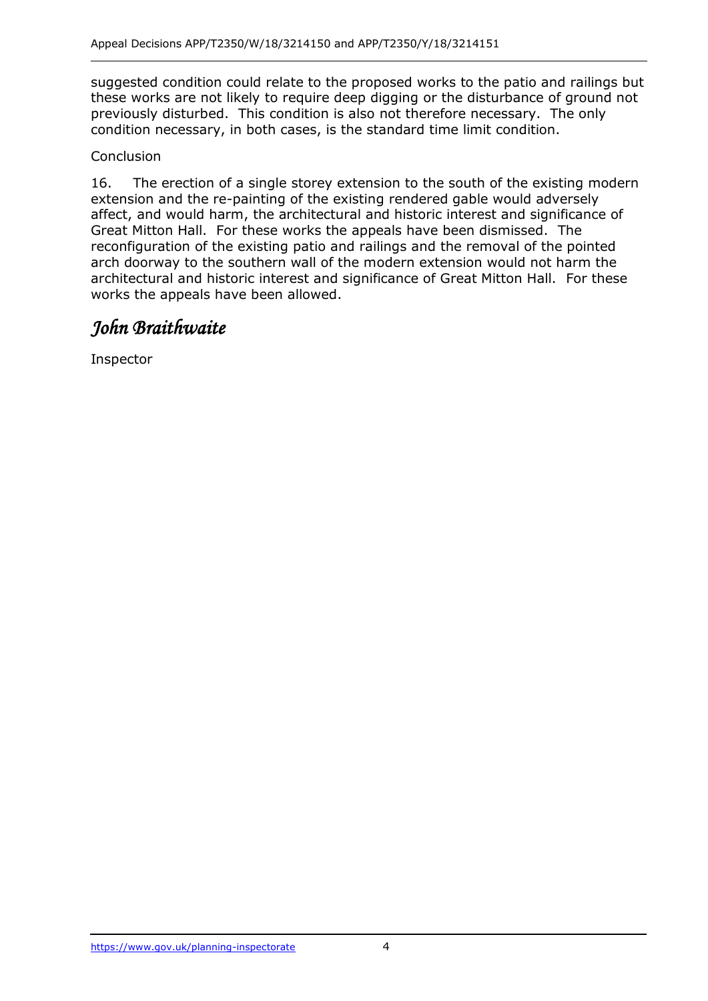suggested condition could relate to the proposed works to the patio and railings but these works are not likely to require deep digging or the disturbance of ground not previously disturbed. This condition is also not therefore necessary. The only condition necessary, in both cases, is the standard time limit condition.

### Conclusion

16. The erection of a single storey extension to the south of the existing modern extension and the re-painting of the existing rendered gable would adversely affect, and would harm, the architectural and historic interest and significance of Great Mitton Hall. For these works the appeals have been dismissed. The reconfiguration of the existing patio and railings and the removal of the pointed arch doorway to the southern wall of the modern extension would not harm the architectural and historic interest and significance of Great Mitton Hall. For these works the appeals have been allowed.

## *John Braithwaite*

Inspector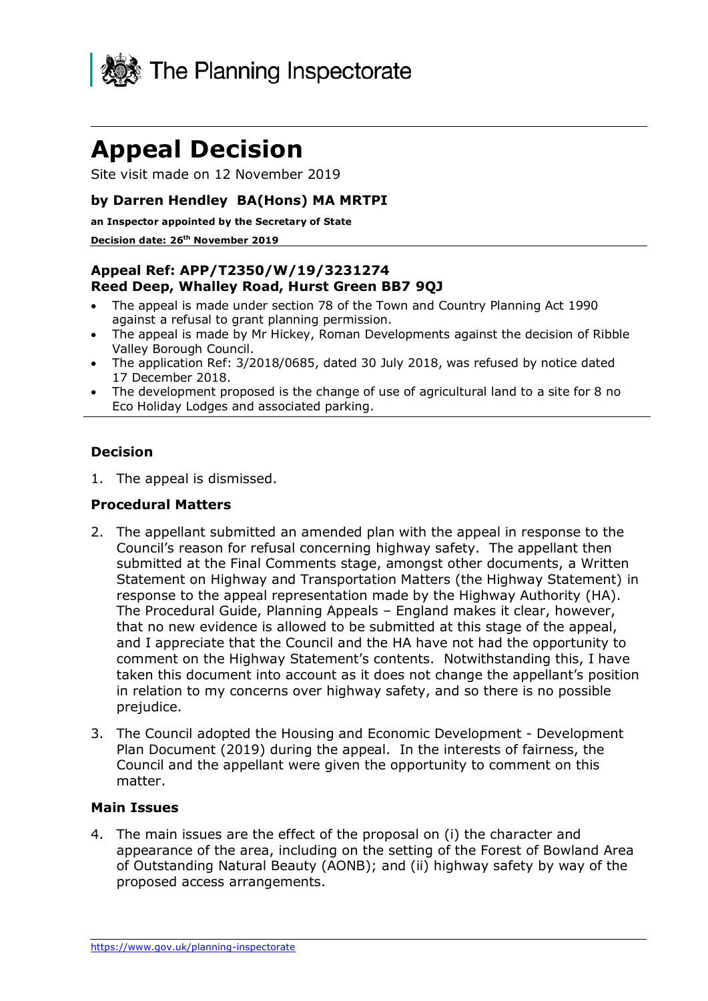

# **Appeal Decision**

Site visit made on 12 November 2019

#### **by Darren Hendley BA(Hons) MA MRTPI**

**an Inspector appointed by the Secretary of State**

#### **Decision date: 26th November 2019**

### **Appeal Ref: APP/T2350/W/19/3231274 Reed Deep, Whalley Road, Hurst Green BB7 9QJ**

- The appeal is made under section 78 of the Town and Country Planning Act 1990 against a refusal to grant planning permission.
- The appeal is made by Mr Hickey, Roman Developments against the decision of Ribble Valley Borough Council.
- The application Ref: 3/2018/0685, dated 30 July 2018, was refused by notice dated 17 December 2018.
- The development proposed is the change of use of agricultural land to a site for 8 no Eco Holiday Lodges and associated parking.

#### **Decision**

1. The appeal is dismissed.

#### **Procedural Matters**

- 2. The appellant submitted an amended plan with the appeal in response to the Council's reason for refusal concerning highway safety. The appellant then submitted at the Final Comments stage, amongst other documents, a Written Statement on Highway and Transportation Matters (the Highway Statement) in response to the appeal representation made by the Highway Authority (HA). The Procedural Guide, Planning Appeals – England makes it clear, however, that no new evidence is allowed to be submitted at this stage of the appeal, and I appreciate that the Council and the HA have not had the opportunity to comment on the Highway Statement's contents. Notwithstanding this, I have taken this document into account as it does not change the appellant's position in relation to my concerns over highway safety, and so there is no possible prejudice.
- 3. The Council adopted the Housing and Economic Development Development Plan Document (2019) during the appeal. In the interests of fairness, the Council and the appellant were given the opportunity to comment on this matter.

#### **Main Issues**

4. The main issues are the effect of the proposal on (i) the character and appearance of the area, including on the setting of the Forest of Bowland Area of Outstanding Natural Beauty (AONB); and (ii) highway safety by way of the proposed access arrangements.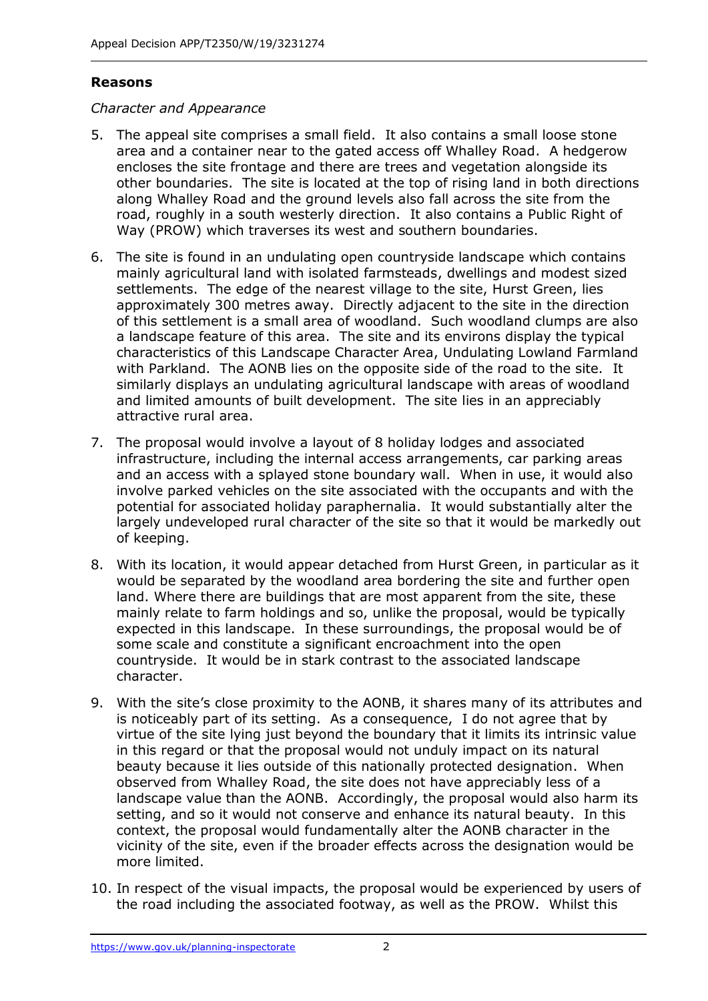#### **Reasons**

#### *Character and Appearance*

- 5. The appeal site comprises a small field. It also contains a small loose stone area and a container near to the gated access off Whalley Road. A hedgerow encloses the site frontage and there are trees and vegetation alongside its other boundaries. The site is located at the top of rising land in both directions along Whalley Road and the ground levels also fall across the site from the road, roughly in a south westerly direction. It also contains a Public Right of Way (PROW) which traverses its west and southern boundaries.
- 6. The site is found in an undulating open countryside landscape which contains mainly agricultural land with isolated farmsteads, dwellings and modest sized settlements. The edge of the nearest village to the site, Hurst Green, lies approximately 300 metres away. Directly adjacent to the site in the direction of this settlement is a small area of woodland. Such woodland clumps are also a landscape feature of this area. The site and its environs display the typical characteristics of this Landscape Character Area, Undulating Lowland Farmland with Parkland. The AONB lies on the opposite side of the road to the site. It similarly displays an undulating agricultural landscape with areas of woodland and limited amounts of built development. The site lies in an appreciably attractive rural area.
- 7. The proposal would involve a layout of 8 holiday lodges and associated infrastructure, including the internal access arrangements, car parking areas and an access with a splayed stone boundary wall. When in use, it would also involve parked vehicles on the site associated with the occupants and with the potential for associated holiday paraphernalia. It would substantially alter the largely undeveloped rural character of the site so that it would be markedly out of keeping.
- 8. With its location, it would appear detached from Hurst Green, in particular as it would be separated by the woodland area bordering the site and further open land. Where there are buildings that are most apparent from the site, these mainly relate to farm holdings and so, unlike the proposal, would be typically expected in this landscape. In these surroundings, the proposal would be of some scale and constitute a significant encroachment into the open countryside. It would be in stark contrast to the associated landscape character.
- 9. With the site's close proximity to the AONB, it shares many of its attributes and is noticeably part of its setting. As a consequence, I do not agree that by virtue of the site lying just beyond the boundary that it limits its intrinsic value in this regard or that the proposal would not unduly impact on its natural beauty because it lies outside of this nationally protected designation. When observed from Whalley Road, the site does not have appreciably less of a landscape value than the AONB. Accordingly, the proposal would also harm its setting, and so it would not conserve and enhance its natural beauty. In this context, the proposal would fundamentally alter the AONB character in the vicinity of the site, even if the broader effects across the designation would be more limited.
- 10. In respect of the visual impacts, the proposal would be experienced by users of the road including the associated footway, as well as the PROW. Whilst this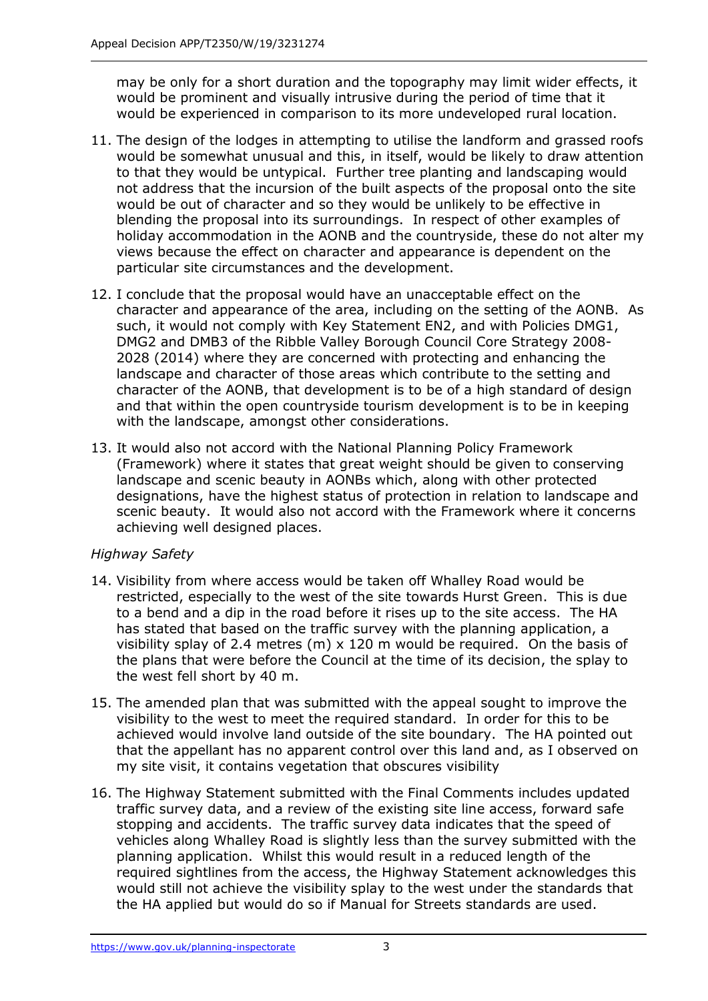may be only for a short duration and the topography may limit wider effects, it would be prominent and visually intrusive during the period of time that it would be experienced in comparison to its more undeveloped rural location.

- 11. The design of the lodges in attempting to utilise the landform and grassed roofs would be somewhat unusual and this, in itself, would be likely to draw attention to that they would be untypical. Further tree planting and landscaping would not address that the incursion of the built aspects of the proposal onto the site would be out of character and so they would be unlikely to be effective in blending the proposal into its surroundings. In respect of other examples of holiday accommodation in the AONB and the countryside, these do not alter my views because the effect on character and appearance is dependent on the particular site circumstances and the development.
- 12. I conclude that the proposal would have an unacceptable effect on the character and appearance of the area, including on the setting of the AONB. As such, it would not comply with Key Statement EN2, and with Policies DMG1, DMG2 and DMB3 of the Ribble Valley Borough Council Core Strategy 2008- 2028 (2014) where they are concerned with protecting and enhancing the landscape and character of those areas which contribute to the setting and character of the AONB, that development is to be of a high standard of design and that within the open countryside tourism development is to be in keeping with the landscape, amongst other considerations.
- 13. It would also not accord with the National Planning Policy Framework (Framework) where it states that great weight should be given to conserving landscape and scenic beauty in AONBs which, along with other protected designations, have the highest status of protection in relation to landscape and scenic beauty. It would also not accord with the Framework where it concerns achieving well designed places.

### *Highway Safety*

- 14. Visibility from where access would be taken off Whalley Road would be restricted, especially to the west of the site towards Hurst Green. This is due to a bend and a dip in the road before it rises up to the site access. The HA has stated that based on the traffic survey with the planning application, a visibility splay of 2.4 metres (m)  $\times$  120 m would be required. On the basis of the plans that were before the Council at the time of its decision, the splay to the west fell short by 40 m.
- 15. The amended plan that was submitted with the appeal sought to improve the visibility to the west to meet the required standard. In order for this to be achieved would involve land outside of the site boundary. The HA pointed out that the appellant has no apparent control over this land and, as I observed on my site visit, it contains vegetation that obscures visibility
- 16. The Highway Statement submitted with the Final Comments includes updated traffic survey data, and a review of the existing site line access, forward safe stopping and accidents. The traffic survey data indicates that the speed of vehicles along Whalley Road is slightly less than the survey submitted with the planning application. Whilst this would result in a reduced length of the required sightlines from the access, the Highway Statement acknowledges this would still not achieve the visibility splay to the west under the standards that the HA applied but would do so if Manual for Streets standards are used.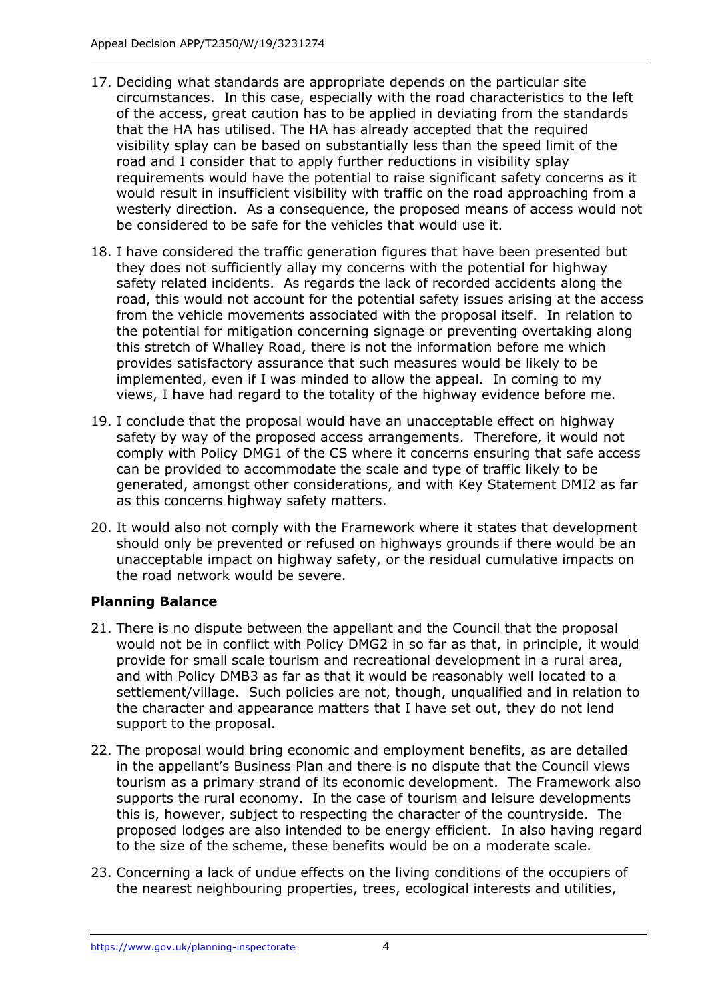- 17. Deciding what standards are appropriate depends on the particular site circumstances. In this case, especially with the road characteristics to the left of the access, great caution has to be applied in deviating from the standards that the HA has utilised. The HA has already accepted that the required visibility splay can be based on substantially less than the speed limit of the road and I consider that to apply further reductions in visibility splay requirements would have the potential to raise significant safety concerns as it would result in insufficient visibility with traffic on the road approaching from a westerly direction. As a consequence, the proposed means of access would not be considered to be safe for the vehicles that would use it.
- 18. I have considered the traffic generation figures that have been presented but they does not sufficiently allay my concerns with the potential for highway safety related incidents. As regards the lack of recorded accidents along the road, this would not account for the potential safety issues arising at the access from the vehicle movements associated with the proposal itself. In relation to the potential for mitigation concerning signage or preventing overtaking along this stretch of Whalley Road, there is not the information before me which provides satisfactory assurance that such measures would be likely to be implemented, even if I was minded to allow the appeal. In coming to my views, I have had regard to the totality of the highway evidence before me.
- 19. I conclude that the proposal would have an unacceptable effect on highway safety by way of the proposed access arrangements. Therefore, it would not comply with Policy DMG1 of the CS where it concerns ensuring that safe access can be provided to accommodate the scale and type of traffic likely to be generated, amongst other considerations, and with Key Statement DMI2 as far as this concerns highway safety matters.
- 20. It would also not comply with the Framework where it states that development should only be prevented or refused on highways grounds if there would be an unacceptable impact on highway safety, or the residual cumulative impacts on the road network would be severe.

### **Planning Balance**

- 21. There is no dispute between the appellant and the Council that the proposal would not be in conflict with Policy DMG2 in so far as that, in principle, it would provide for small scale tourism and recreational development in a rural area, and with Policy DMB3 as far as that it would be reasonably well located to a settlement/village. Such policies are not, though, unqualified and in relation to the character and appearance matters that I have set out, they do not lend support to the proposal.
- 22. The proposal would bring economic and employment benefits, as are detailed in the appellant's Business Plan and there is no dispute that the Council views tourism as a primary strand of its economic development. The Framework also supports the rural economy. In the case of tourism and leisure developments this is, however, subject to respecting the character of the countryside. The proposed lodges are also intended to be energy efficient. In also having regard to the size of the scheme, these benefits would be on a moderate scale.
- 23. Concerning a lack of undue effects on the living conditions of the occupiers of the nearest neighbouring properties, trees, ecological interests and utilities,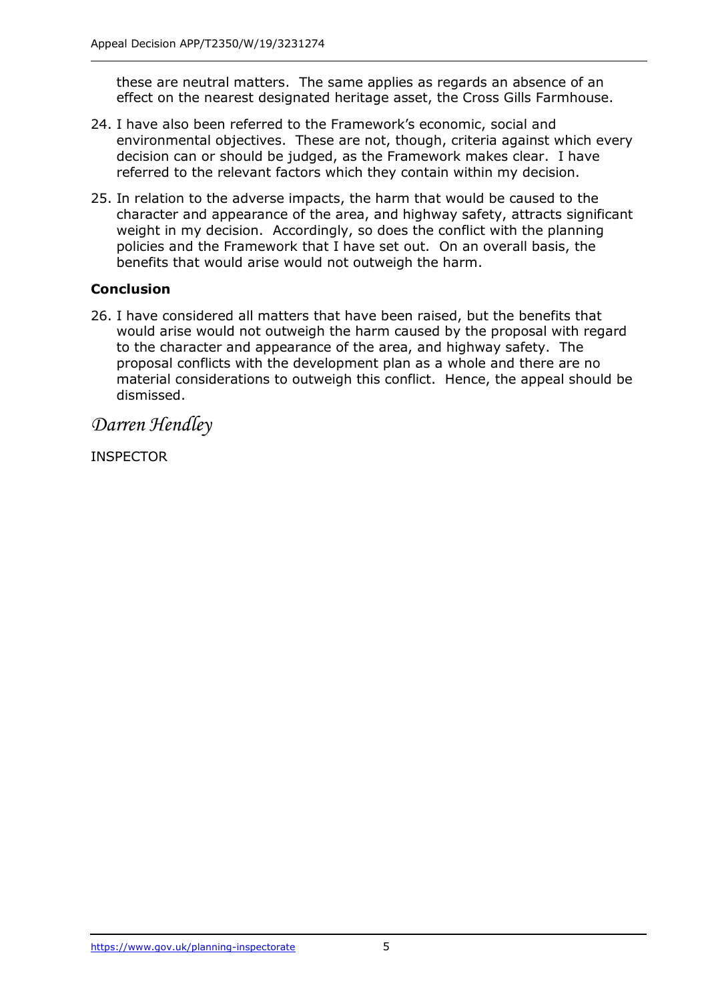these are neutral matters. The same applies as regards an absence of an effect on the nearest designated heritage asset, the Cross Gills Farmhouse.

- 24. I have also been referred to the Framework's economic, social and environmental objectives. These are not, though, criteria against which every decision can or should be judged, as the Framework makes clear. I have referred to the relevant factors which they contain within my decision.
- 25. In relation to the adverse impacts, the harm that would be caused to the character and appearance of the area, and highway safety, attracts significant weight in my decision. Accordingly, so does the conflict with the planning policies and the Framework that I have set out. On an overall basis, the benefits that would arise would not outweigh the harm.

### **Conclusion**

26. I have considered all matters that have been raised, but the benefits that would arise would not outweigh the harm caused by the proposal with regard to the character and appearance of the area, and highway safety. The proposal conflicts with the development plan as a whole and there are no material considerations to outweigh this conflict. Hence, the appeal should be dismissed.

*Darren Hendley*

INSPECTOR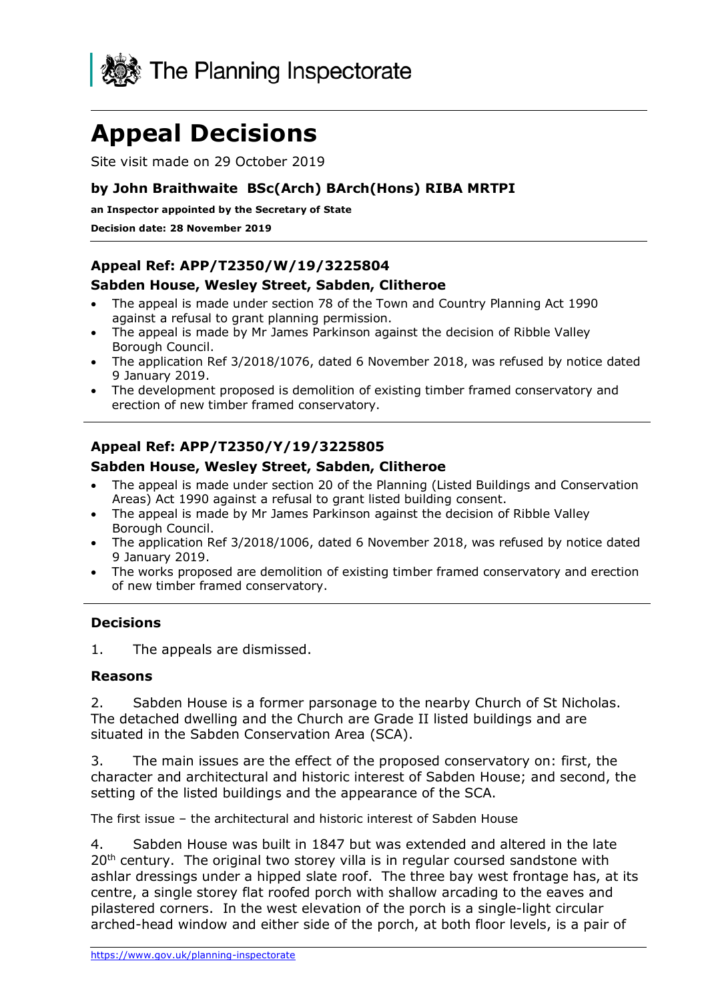

# **Appeal Decisions**

Site visit made on 29 October 2019

#### **by John Braithwaite BSc(Arch) BArch(Hons) RIBA MRTPI**

**an Inspector appointed by the Secretary of State**

**Decision date: 28 November 2019**

#### **Appeal Ref: APP/T2350/W/19/3225804**

#### **Sabden House, Wesley Street, Sabden, Clitheroe**

- The appeal is made under section 78 of the Town and Country Planning Act 1990 against a refusal to grant planning permission.
- The appeal is made by Mr James Parkinson against the decision of Ribble Valley Borough Council.
- The application Ref 3/2018/1076, dated 6 November 2018, was refused by notice dated 9 January 2019.
- The development proposed is demolition of existing timber framed conservatory and erection of new timber framed conservatory.

### **Appeal Ref: APP/T2350/Y/19/3225805**

#### **Sabden House, Wesley Street, Sabden, Clitheroe**

- The appeal is made under section 20 of the Planning (Listed Buildings and Conservation Areas) Act 1990 against a refusal to grant listed building consent.
- The appeal is made by Mr James Parkinson against the decision of Ribble Valley Borough Council.
- The application Ref 3/2018/1006, dated 6 November 2018, was refused by notice dated 9 January 2019.
- The works proposed are demolition of existing timber framed conservatory and erection of new timber framed conservatory.

#### **Decisions**

1. The appeals are dismissed.

#### **Reasons**

2. Sabden House is a former parsonage to the nearby Church of St Nicholas. The detached dwelling and the Church are Grade II listed buildings and are situated in the Sabden Conservation Area (SCA).

3. The main issues are the effect of the proposed conservatory on: first, the character and architectural and historic interest of Sabden House; and second, the setting of the listed buildings and the appearance of the SCA.

The first issue – the architectural and historic interest of Sabden House

4. Sabden House was built in 1847 but was extended and altered in the late 20<sup>th</sup> century. The original two storey villa is in regular coursed sandstone with ashlar dressings under a hipped slate roof. The three bay west frontage has, at its centre, a single storey flat roofed porch with shallow arcading to the eaves and pilastered corners. In the west elevation of the porch is a single-light circular arched-head window and either side of the porch, at both floor levels, is a pair of